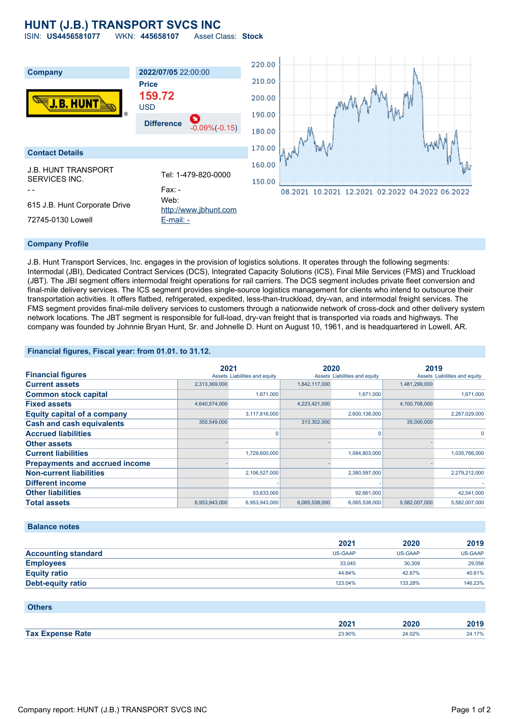## **HUNT (J.B.) TRANSPORT SVCS INC**

ISIN: **US4456581077** WKN: **445658107** Asset Class: **Stock**



### **Company Profile**

J.B. Hunt Transport Services, Inc. engages in the provision of logistics solutions. It operates through the following segments: Intermodal (JBI), Dedicated Contract Services (DCS), Integrated Capacity Solutions (ICS), Final Mile Services (FMS) and Truckload (JBT). The JBI segment offers intermodal freight operations for rail carriers. The DCS segment includes private fleet conversion and final-mile delivery services. The ICS segment provides single-source logistics management for clients who intend to outsource their transportation activities. It offers flatbed, refrigerated, expedited, less-than-truckload, dry-van, and intermodal freight services. The FMS segment provides final-mile delivery services to customers through a nationwide network of cross-dock and other delivery system network locations. The JBT segment is responsible for full-load, dry-van freight that is transported via roads and highways. The company was founded by Johnnie Bryan Hunt, Sr. and Johnelle D. Hunt on August 10, 1961, and is headquartered in Lowell, AR.

### **Financial figures, Fiscal year: from 01.01. to 31.12.**

|                                       | 2021          |                               | 2020          |                               | 2019          |                               |
|---------------------------------------|---------------|-------------------------------|---------------|-------------------------------|---------------|-------------------------------|
| <b>Financial figures</b>              |               | Assets Liabilities and equity |               | Assets Liabilities and equity |               | Assets Liabilities and equity |
| <b>Current assets</b>                 | 2,313,369,000 |                               | 1,842,117,000 |                               | 1,481,299,000 |                               |
| <b>Common stock capital</b>           |               | 1.671.000                     |               | 1,671,000                     |               | 1.671.000                     |
| <b>Fixed assets</b>                   | 4,640,574,000 |                               | 4,223,421,000 |                               | 4,100,708,000 |                               |
| <b>Equity capital of a company</b>    |               | 3,117,816,000                 |               | 2,600,138,000                 |               | 2,267,029,000                 |
| <b>Cash and cash equivalents</b>      | 355,549,000   |                               | 313,302,000   |                               | 35,000,000    |                               |
| <b>Accrued liabilities</b>            |               |                               |               | $\Omega$                      |               | $\Omega$                      |
| <b>Other assets</b>                   |               |                               |               |                               |               |                               |
| <b>Current liabilities</b>            |               | 1,729,600,000                 |               | 1,084,803,000                 |               | 1,035,766,000                 |
| <b>Prepayments and accrued income</b> |               |                               |               |                               |               |                               |
| <b>Non-current liabilities</b>        |               | 2,106,527,000                 |               | 2,380,597,000                 |               | 2,279,212,000                 |
| <b>Different income</b>               |               |                               |               |                               |               |                               |
| <b>Other liabilities</b>              |               | 53,633,000                    |               | 92,661,000                    |               | 42,541,000                    |
| <b>Total assets</b>                   | 6,953,943,000 | 6,953,943,000                 | 6,065,538,000 | 6,065,538,000                 | 5,582,007,000 | 5,582,007,000                 |

### **Balance notes**

|                            | 2021    | 2020    | 2019    |
|----------------------------|---------|---------|---------|
| <b>Accounting standard</b> | US-GAAP | US-GAAP | US-GAAP |
| <b>Employees</b>           | 33.045  | 30,309  | 29,056  |
| <b>Equity ratio</b>        | 44.84%  | 42.87%  | 40.61%  |
| <b>Debt-equity ratio</b>   | 123.04% | 133.28% | 146.23% |

| <b>Others</b>           |        |        |        |
|-------------------------|--------|--------|--------|
|                         | 2021   | 2020   | 2019   |
| <b>Tax Expense Rate</b> | 23.90% | 24.02% | 24.17% |